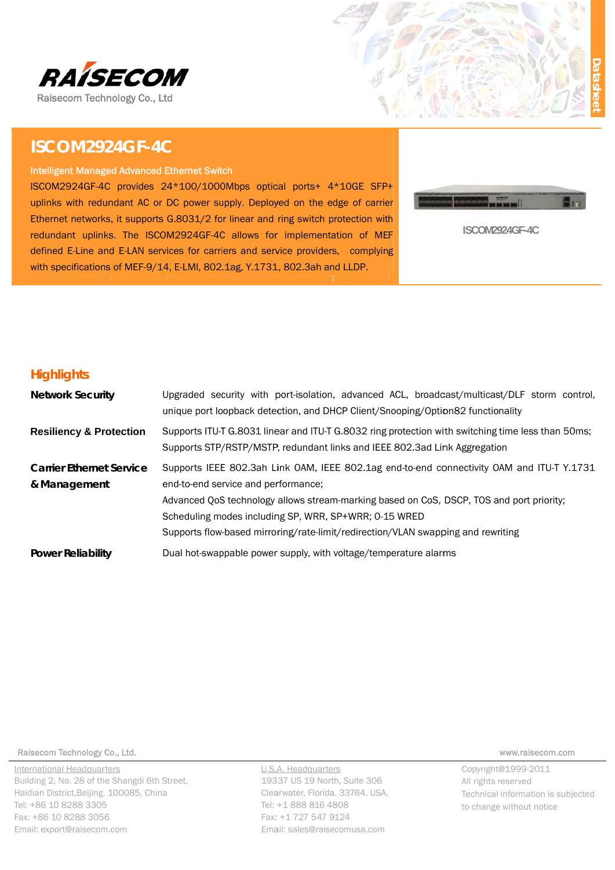

# **ISCOM2924GF-4C**

#### **Intelligent Managed Advanced Ethernet Switch**

ISCOM2924GF-4C provides 24\*100/1000Mbps optical ports+ 4\*10GE SFP+ uplinks with redundant AC or DC power supply. Deployed on the edge of carrier Ethernet networks, it supports G.8031/2 for linear and ring switch protection with redundant uplinks. The ISCOM2924GF-4C allows for implementation of MEF defined E-Line and E-LAN services for carriers and service providers, complying with specifications of MEF-9/14, E-LMI, 802.1ag, Y.1731, 802.3ah and LLDP.



**ISCOM2924GF-4C** 

# **Highlights**

| <b>Network Security</b>                         | Upgraded security with port-isolation, advanced ACL, broadcast/multicast/DLF storm control,<br>unique port loopback detection, and DHCP Client/Snooping/Option82 functionality                                                                                                                                                                                            |  |  |
|-------------------------------------------------|---------------------------------------------------------------------------------------------------------------------------------------------------------------------------------------------------------------------------------------------------------------------------------------------------------------------------------------------------------------------------|--|--|
| <b>Resiliency &amp; Protection</b>              | Supports ITU-T G.8031 linear and ITU-T G.8032 ring protection with switching time less than 50ms;<br>Supports STP/RSTP/MSTP, redundant links and IEEE 802.3ad Link Aggregation                                                                                                                                                                                            |  |  |
| <b>Carrier Ethernet Service</b><br>& Management | Supports IEEE 802.3ah Link OAM, IEEE 802.1ag end-to-end connectivity OAM and ITU-T Y.1731<br>end-to-end service and performance:<br>Advanced QoS technology allows stream-marking based on CoS, DSCP, TOS and port priority;<br>Scheduling modes including SP, WRR, SP+WRR; 0-15 WRED<br>Supports flow-based mirroring/rate-limit/redirection/VLAN swapping and rewriting |  |  |
| <b>Power Reliability</b>                        | Dual hot-swappable power supply, with voltage/temperature alarms                                                                                                                                                                                                                                                                                                          |  |  |

Raisecom Technology Co., Ltd.

**International Headquarters** Building 2, No. 28 of the Shangdi 6th Street, Haidian District, Beijing. 100085, China Tel: +86 10 8288 3305 Fax: +86 10 8288 3056 Email: export@raisecom.com

U.S.A. Headquarters 19337 US 19 North, Suite 306 Clearwater, Florida. 33764. USA. Tel: +1 888 816 4808 Fax: +1 727 547 9124 Email: sales@raisecomusa.com

www.raisecom.com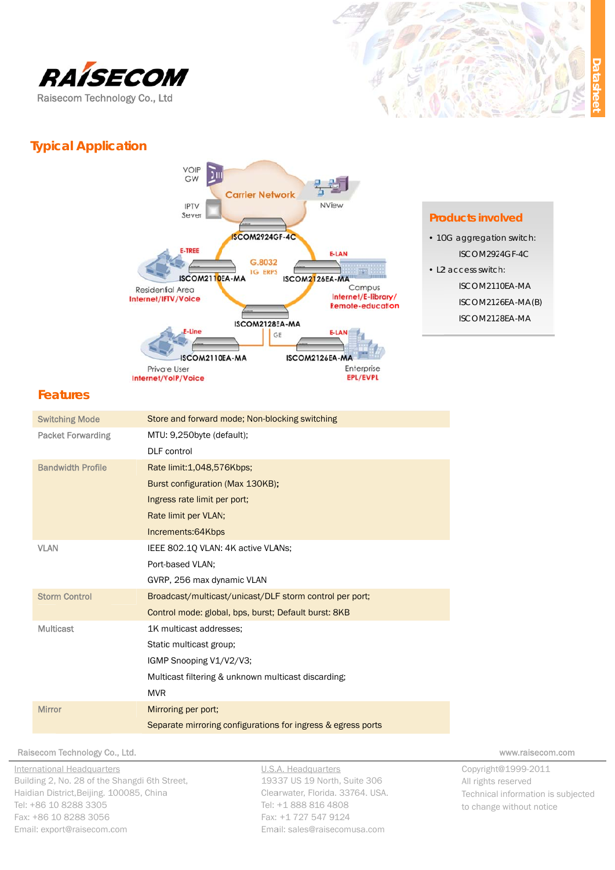





## **Products involved**

- · 10G aggregation switch: ISCOM2924GF-4C
- L<sub>2</sub> access switch: ISCOM2110EA-MA
	- ISCOM2126EA-MA(B)
	- ISCOM2128EA-MA

# **Features**

| <b>Switching Mode</b>    | Store and forward mode; Non-blocking switching               |  |  |
|--------------------------|--------------------------------------------------------------|--|--|
| <b>Packet Forwarding</b> | MTU: 9,250byte (default);                                    |  |  |
|                          | <b>DLF</b> control                                           |  |  |
| <b>Bandwidth Profile</b> | Rate limit: 1,048,576Kbps;                                   |  |  |
|                          | Burst configuration (Max 130KB);                             |  |  |
|                          | Ingress rate limit per port;                                 |  |  |
|                          | Rate limit per VLAN;                                         |  |  |
|                          | Increments:64Kbps                                            |  |  |
| <b>VLAN</b>              | IEEE 802.10 VLAN: 4K active VLANs;                           |  |  |
|                          | Port-based VLAN;                                             |  |  |
|                          | GVRP, 256 max dynamic VLAN                                   |  |  |
| <b>Storm Control</b>     | Broadcast/multicast/unicast/DLF storm control per port;      |  |  |
|                          | Control mode: global, bps, burst; Default burst: 8KB         |  |  |
| <b>Multicast</b>         | 1K multicast addresses:                                      |  |  |
|                          | Static multicast group;                                      |  |  |
|                          | IGMP Snooping V1/V2/V3;                                      |  |  |
|                          | Multicast filtering & unknown multicast discarding;          |  |  |
|                          | <b>MVR</b>                                                   |  |  |
| <b>Mirror</b>            | Mirroring per port;                                          |  |  |
|                          | Separate mirroring configurations for ingress & egress ports |  |  |

#### Raisecom Technology Co., Ltd.

**International Headquarters** Building 2, No. 28 of the Shangdi 6th Street, Haidian District, Beijing. 100085, China Tel: +86 10 8288 3305 Fax: +86 10 8288 3056 Email: export@raisecom.com

U.S.A. Headquarters 19337 US 19 North, Suite 306 Clearwater, Florida. 33764. USA. Tel: +1 888 816 4808 Fax: +1 727 547 9124 Email: sales@raisecomusa.com

www.raisecom.com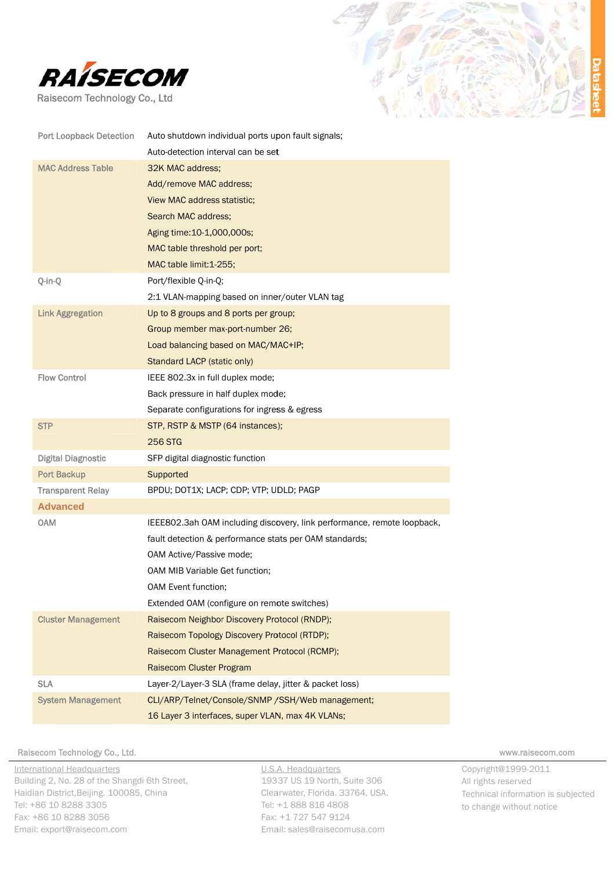

**Contractor** 



| Port Loopback Detection   | Auto shutdown individual ports upon fault signals;                      |  |
|---------------------------|-------------------------------------------------------------------------|--|
|                           | Auto-detection interval can be set                                      |  |
| <b>MAC Address Table</b>  | 32K MAC address:                                                        |  |
|                           | Add/remove MAC address;                                                 |  |
|                           | View MAC address statistic;                                             |  |
|                           | Search MAC address:                                                     |  |
|                           | Aging time: 10-1,000,000s;                                              |  |
|                           | MAC table threshold per port;                                           |  |
|                           | MAC table limit: 1-255;                                                 |  |
| Q-in-Q                    | Port/flexible Q-in-Q;                                                   |  |
|                           | 2:1 VLAN-mapping based on inner/outer VLAN tag                          |  |
| <b>Link Aggregation</b>   | Up to 8 groups and 8 ports per group;                                   |  |
|                           | Group member max-port-number 26;                                        |  |
|                           | Load balancing based on MAC/MAC+IP;                                     |  |
|                           | Standard LACP (static only)                                             |  |
| <b>Flow Control</b>       | IEEE 802.3x in full duplex mode;                                        |  |
|                           | Back pressure in half duplex mode;                                      |  |
|                           | Separate configurations for ingress & egress                            |  |
| <b>STP</b>                | STP, RSTP & MSTP (64 instances);                                        |  |
|                           | <b>256 STG</b>                                                          |  |
| <b>Digital Diagnostic</b> | SFP digital diagnostic function                                         |  |
| <b>Port Backup</b>        | Supported                                                               |  |
| <b>Transparent Relay</b>  | BPDU; DOT1X; LACP; CDP; VTP; UDLD; PAGP                                 |  |
| <b>Advanced</b>           |                                                                         |  |
| <b>OAM</b>                | IEEE802.3ah OAM including discovery, link performance, remote loopback, |  |
|                           | fault detection & performance stats per OAM standards;                  |  |
|                           | OAM Active/Passive mode;                                                |  |
|                           | OAM MIB Variable Get function;                                          |  |
|                           | <b>OAM Event function:</b>                                              |  |
|                           | Extended OAM (configure on remote switches)                             |  |
| <b>Cluster Management</b> | Raisecom Neighbor Discovery Protocol (RNDP);                            |  |
|                           | Raisecom Topology Discovery Protocol (RTDP);                            |  |
|                           | Raisecom Cluster Management Protocol (RCMP);                            |  |
|                           | Raisecom Cluster Program                                                |  |
| <b>SLA</b>                | Layer-2/Layer-3 SLA (frame delay, jitter & packet loss)                 |  |
| <b>System Management</b>  | CLI/ARP/Telnet/Console/SNMP/SSH/Web management;                         |  |
|                           | 16   aver 3 interfaces super VI AN may 1K VI ANs.                       |  |

 $\ldots$  .

## Raisecom Technology Co., Ltd.

International Headquarters Building 2, No. 28 of the Shangdi 6th Street, Haidian District, Beijing. 100085, China Tel: +86 10 8288 3305 Fax: +86 10 8288 3056 Email: export@raisecom.com

U.S.A. Headquarters 19337 US 19 North, Suite 306 Clearwater, Florida. 33764. USA. Tel: +1 888 816 4808 Fax: +1 727 547 9124 Email: sales@raisecomusa.com

www.raisecom.com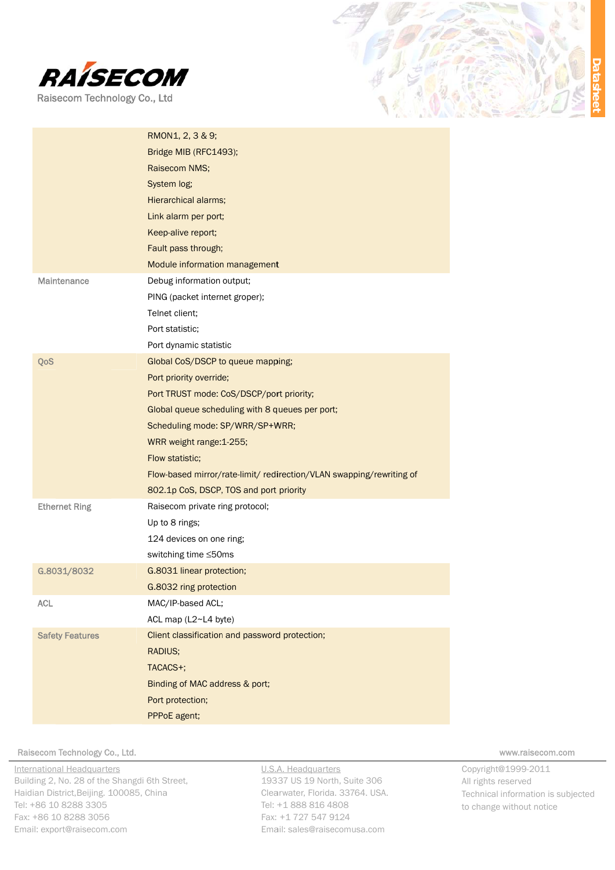

|                        | RMON1, 2, 3 & 9;                                                     |
|------------------------|----------------------------------------------------------------------|
|                        | Bridge MIB (RFC1493);                                                |
|                        | Raisecom NMS;                                                        |
|                        | System log;                                                          |
|                        | Hierarchical alarms;                                                 |
|                        | Link alarm per port;                                                 |
|                        | Keep-alive report;                                                   |
|                        | Fault pass through;                                                  |
|                        | Module information management                                        |
| <b>Maintenance</b>     | Debug information output;                                            |
|                        | PING (packet internet groper);                                       |
|                        | Telnet client;                                                       |
|                        | Port statistic;                                                      |
|                        | Port dynamic statistic                                               |
| QoS                    | Global CoS/DSCP to queue mapping;                                    |
|                        | Port priority override;                                              |
|                        | Port TRUST mode: CoS/DSCP/port priority;                             |
|                        | Global queue scheduling with 8 queues per port;                      |
|                        | Scheduling mode: SP/WRR/SP+WRR;                                      |
|                        | WRR weight range: 1-255;                                             |
|                        | Flow statistic;                                                      |
|                        | Flow-based mirror/rate-limit/ redirection/VLAN swapping/rewriting of |
|                        | 802.1p CoS, DSCP, TOS and port priority                              |
| <b>Ethernet Ring</b>   | Raisecom private ring protocol;                                      |
|                        | Up to 8 rings;                                                       |
|                        | 124 devices on one ring;                                             |
|                        | switching time ≤50ms                                                 |
| G.8031/8032            | G.8031 linear protection;                                            |
|                        | G.8032 ring protection                                               |
| <b>ACL</b>             | MAC/IP-based ACL;                                                    |
|                        | ACL map (L2~L4 byte)                                                 |
| <b>Safety Features</b> | Client classification and password protection;                       |
|                        | RADIUS;                                                              |
|                        | TACACS+;                                                             |
|                        | Binding of MAC address & port;                                       |
|                        | Port protection;                                                     |
|                        | PPPoE agent;                                                         |

## Raisecom Technology Co., Ltd.

International Headquarters Building 2, No. 28 of the Shangdi 6th Street, Haidian District, Beijing. 100085, China Tel: +86 10 8288 3305 Fax: +86 10 8288 3056 Email: export@raisecom.com

U.S.A. Headquarters 19337 US 19 North, Suite 306 Clearwater, Florida. 33764. USA. Tel: +1 888 816 4808 Fax: +1 727 547 9124 Email: sales@raisecomusa.com

www.raisecom.com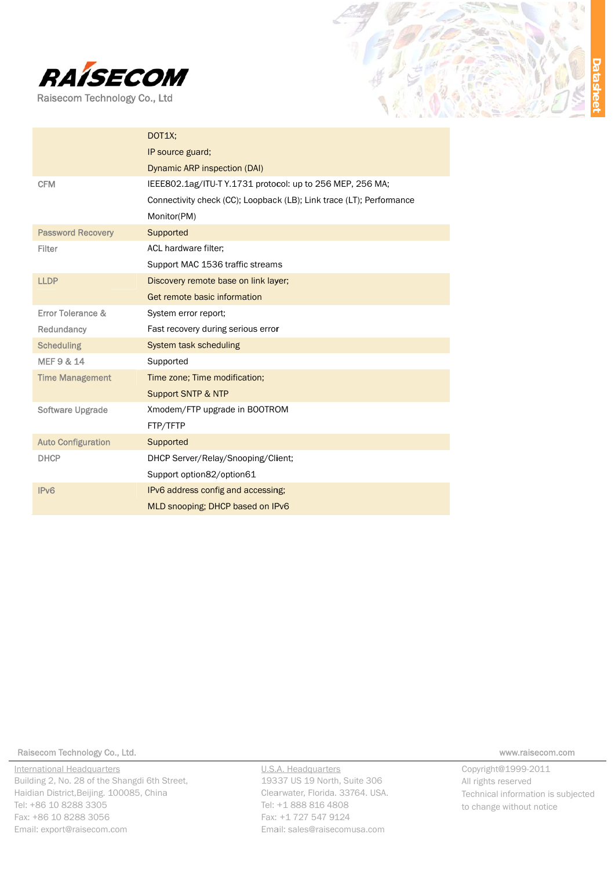



|                           | DOT1X;                                                               |  |  |  |
|---------------------------|----------------------------------------------------------------------|--|--|--|
|                           | IP source guard;                                                     |  |  |  |
|                           | Dynamic ARP inspection (DAI)                                         |  |  |  |
| <b>CFM</b>                | IEEE802.1ag/ITU-T Y.1731 protocol: up to 256 MEP, 256 MA;            |  |  |  |
|                           | Connectivity check (CC); Loopback (LB); Link trace (LT); Performance |  |  |  |
|                           | Monitor(PM)                                                          |  |  |  |
| <b>Password Recovery</b>  | Supported                                                            |  |  |  |
| Filter                    | ACL hardware filter;                                                 |  |  |  |
|                           | Support MAC 1536 traffic streams                                     |  |  |  |
| <b>LLDP</b>               | Discovery remote base on link layer;                                 |  |  |  |
|                           | Get remote basic information                                         |  |  |  |
| Error Tolerance &         | System error report;                                                 |  |  |  |
| Redundancy                | Fast recovery during serious error                                   |  |  |  |
| <b>Scheduling</b>         | System task scheduling                                               |  |  |  |
| MEF 9 & 14                | Supported                                                            |  |  |  |
| <b>Time Management</b>    | Time zone; Time modification;                                        |  |  |  |
|                           | Support SNTP & NTP                                                   |  |  |  |
| <b>Software Upgrade</b>   | Xmodem/FTP upgrade in BOOTROM                                        |  |  |  |
|                           | FTP/TFTP                                                             |  |  |  |
| <b>Auto Configuration</b> | Supported                                                            |  |  |  |
| <b>DHCP</b>               | DHCP Server/Relay/Snooping/Client;                                   |  |  |  |
|                           | Support option82/option61                                            |  |  |  |
| IP <sub>v6</sub>          | IPv6 address config and accessing;                                   |  |  |  |
|                           | MLD snooping; DHCP based on IPv6                                     |  |  |  |
|                           |                                                                      |  |  |  |

## Raisecom Technology Co., Ltd.

International Headquarters Building 2, No. 28 of the Shangdi 6th Street, Haidian District, Beijing. 100085, China Tel: +86 10 8288 3305 Fax: +86 10 8288 3056 Email: export@raisecom.com

U.S.A. Headquarters 19337 US 19 North, Suite 306 Clearwater, Florida. 33764. USA. Tel: +1 888 816 4808 Fax: +1 727 547 9124 Email: sales@raisecomusa.com

www.raisecom.com